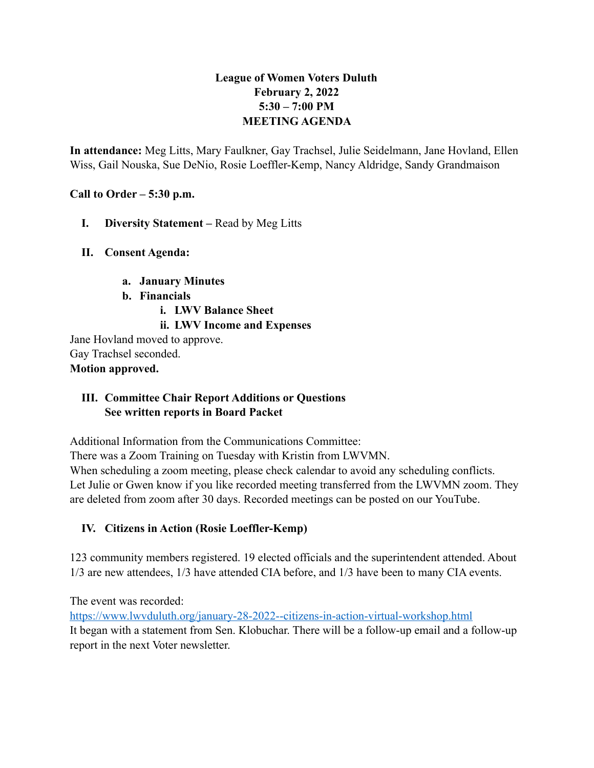# **League of Women Voters Duluth February 2, 2022 5:30 – 7:00 PM MEETING AGENDA**

**In attendance:** Meg Litts, Mary Faulkner, Gay Trachsel, Julie Seidelmann, Jane Hovland, Ellen Wiss, Gail Nouska, Sue DeNio, Rosie Loeffler-Kemp, Nancy Aldridge, Sandy Grandmaison

**Call to Order – 5:30 p.m.**

- **I. Diversity Statement** Read by Meg Litts
- **II. Consent Agenda:** 
	- **a. January Minutes**
	- **b. Financials**
		- **i. LWV Balance Sheet**

#### **ii. LWV Income and Expenses**

Jane Hovland moved to approve. Gay Trachsel seconded. **Motion approved.**

#### **III. Committee Chair Report Additions or Questions See written reports in Board Packet**

Additional Information from the Communications Committee:

There was a Zoom Training on Tuesday with Kristin from LWVMN.

When scheduling a zoom meeting, please check calendar to avoid any scheduling conflicts. Let Julie or Gwen know if you like recorded meeting transferred from the LWVMN zoom. They are deleted from zoom after 30 days. Recorded meetings can be posted on our YouTube.

# **IV. Citizens in Action (Rosie Loeffler-Kemp)**

123 community members registered. 19 elected officials and the superintendent attended. About 1/3 are new attendees, 1/3 have attended CIA before, and 1/3 have been to many CIA events.

The event was recorded:

<https://www.lwvduluth.org/january-28-2022--citizens-in-action-virtual-workshop.html> It began with a statement from Sen. Klobuchar. There will be a follow-up email and a follow-up report in the next Voter newsletter.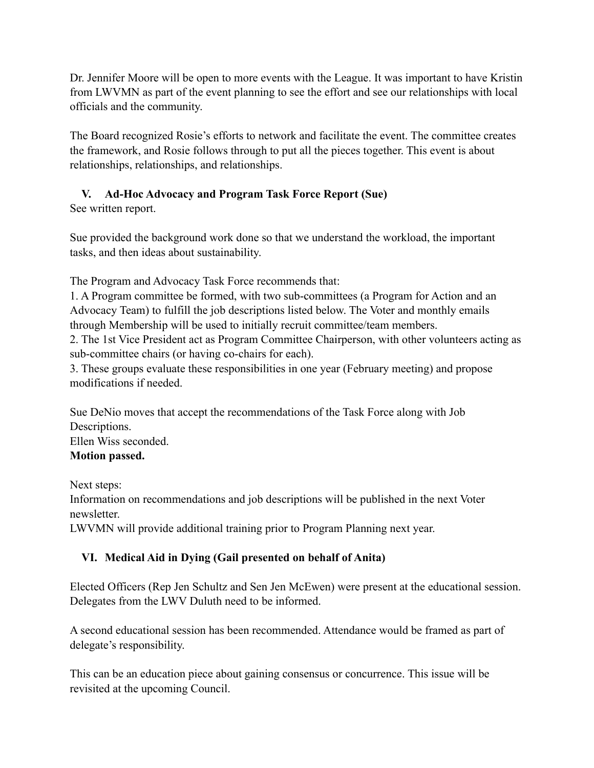Dr. Jennifer Moore will be open to more events with the League. It was important to have Kristin from LWVMN as part of the event planning to see the effort and see our relationships with local officials and the community.

The Board recognized Rosie's efforts to network and facilitate the event. The committee creates the framework, and Rosie follows through to put all the pieces together. This event is about relationships, relationships, and relationships.

# **V. Ad-Hoc Advocacy and Program Task Force Report (Sue)**

See written report.

Sue provided the background work done so that we understand the workload, the important tasks, and then ideas about sustainability.

The Program and Advocacy Task Force recommends that:

1. A Program committee be formed, with two sub-committees (a Program for Action and an Advocacy Team) to fulfill the job descriptions listed below. The Voter and monthly emails through Membership will be used to initially recruit committee/team members.

2. The 1st Vice President act as Program Committee Chairperson, with other volunteers acting as sub-committee chairs (or having co-chairs for each).

3. These groups evaluate these responsibilities in one year (February meeting) and propose modifications if needed.

Sue DeNio moves that accept the recommendations of the Task Force along with Job Descriptions. Ellen Wiss seconded. **Motion passed.**

Next steps:

Information on recommendations and job descriptions will be published in the next Voter newsletter.

LWVMN will provide additional training prior to Program Planning next year.

# **VI. Medical Aid in Dying (Gail presented on behalf of Anita)**

Elected Officers (Rep Jen Schultz and Sen Jen McEwen) were present at the educational session. Delegates from the LWV Duluth need to be informed.

A second educational session has been recommended. Attendance would be framed as part of delegate's responsibility.

This can be an education piece about gaining consensus or concurrence. This issue will be revisited at the upcoming Council.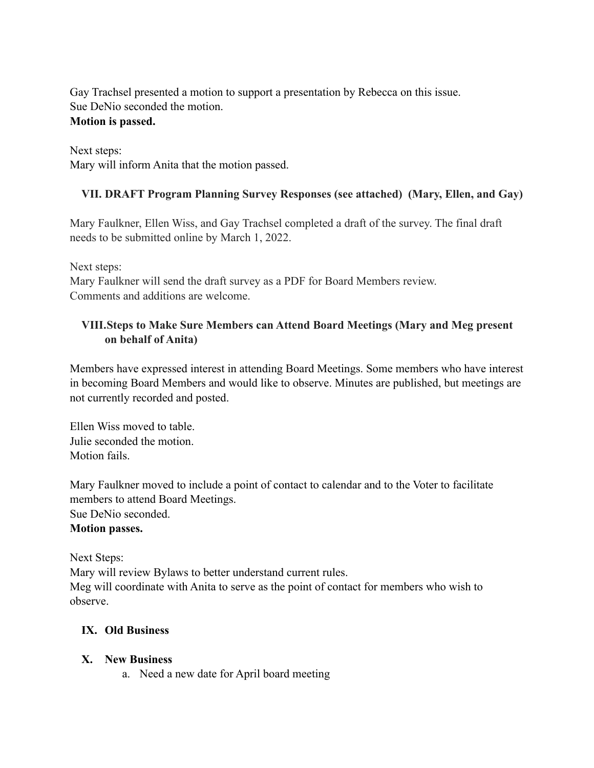Gay Trachsel presented a motion to support a presentation by Rebecca on this issue. Sue DeNio seconded the motion.

#### **Motion is passed.**

Next steps: Mary will inform Anita that the motion passed.

# **VII. DRAFT Program Planning Survey Responses (see attached) (Mary, Ellen, and Gay)**

Mary Faulkner, Ellen Wiss, and Gay Trachsel completed a draft of the survey. The final draft needs to be submitted online by March 1, 2022.

Next steps:

Mary Faulkner will send the draft survey as a PDF for Board Members review. Comments and additions are welcome.

#### **VIII.Steps to Make Sure Members can Attend Board Meetings (Mary and Meg present on behalf of Anita)**

Members have expressed interest in attending Board Meetings. Some members who have interest in becoming Board Members and would like to observe. Minutes are published, but meetings are not currently recorded and posted.

Ellen Wiss moved to table. Julie seconded the motion. Motion fails.

Mary Faulkner moved to include a point of contact to calendar and to the Voter to facilitate members to attend Board Meetings. Sue DeNio seconded. **Motion passes.**

Next Steps:

Mary will review Bylaws to better understand current rules. Meg will coordinate with Anita to serve as the point of contact for members who wish to observe.

#### **IX. Old Business**

# **X. New Business**

a. Need a new date for April board meeting